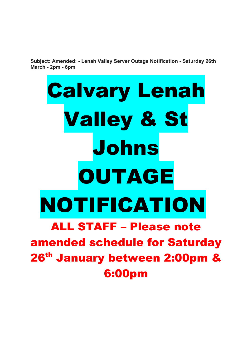**Subject: Amended: - Lenah Valley Server Outage Notification - Saturday 26th March - 2pm - 6pm**

# Calvary Lenah Valley & St Johns OUTAGE NOTIFICATION ALL STAFF – Please note amended schedule for Saturday 26<sup>th</sup> January between 2:00pm & 6:00pm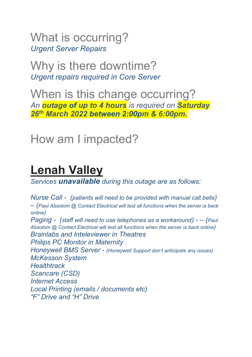What is occurring? *Urgent Server Repairs*

Why is there downtime? *Urgent repairs required in Core Server*

When is this change occurring? *An outage of up to 4 hours is required on Saturday 26th March 2022 between 2:00pm & 6:00pm.*

### How am I impacted?

# **Lenah Valley**

*Services unavailable during this outage are as follows:*

*Nurse Call - (patients will need to be provided with manual call bells) – (Paul Absolom @ Contact Electrical will test all functions when the server is back online) Paging - (staff will need to use telephones as a workaround) - – (Paul Absolom @ Contact Electrical will test all functions when the server is back online) Brainlabs and Inteleviewer in Theatres Philips PC Monitor in Maternity Honeywell BMS Server - (Honeywell Support don't anticipate any issues) McKesson System Healthtrack Scancare (CSD) Internet Access Local Printing (emails / documents etc) "F" Drive and "H" Drive*